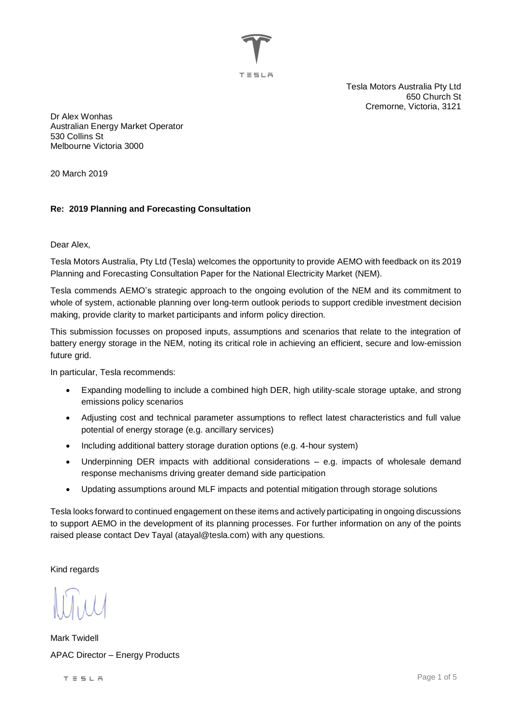

Tesla Motors Australia Pty Ltd 650 Church St Cremorne, Victoria, 3121

Dr Alex Wonhas Australian Energy Market Operator 530 Collins St Melbourne Victoria 3000

20 March 2019

## **Re: 2019 Planning and Forecasting Consultation**

Dear Alex,

Tesla Motors Australia, Pty Ltd (Tesla) welcomes the opportunity to provide AEMO with feedback on its 2019 Planning and Forecasting Consultation Paper for the National Electricity Market (NEM).

Tesla commends AEMO's strategic approach to the ongoing evolution of the NEM and its commitment to whole of system, actionable planning over long-term outlook periods to support credible investment decision making, provide clarity to market participants and inform policy direction.

This submission focusses on proposed inputs, assumptions and scenarios that relate to the integration of battery energy storage in the NEM, noting its critical role in achieving an efficient, secure and low-emission future grid.

In particular, Tesla recommends:

- Expanding modelling to include a combined high DER, high utility-scale storage uptake, and strong emissions policy scenarios
- Adjusting cost and technical parameter assumptions to reflect latest characteristics and full value potential of energy storage (e.g. ancillary services)
- Including additional battery storage duration options (e.g. 4-hour system)
- Underpinning DER impacts with additional considerations e.g. impacts of wholesale demand response mechanisms driving greater demand side participation
- Updating assumptions around MLF impacts and potential mitigation through storage solutions

Tesla looks forward to continued engagement on these items and actively participating in ongoing discussions to support AEMO in the development of its planning processes. For further information on any of the points raised please contact Dev Tayal (atayal@tesla.com) with any questions.

Kind regards

Mark Twidell APAC Director – Energy Products

 $T \equiv 5 L H$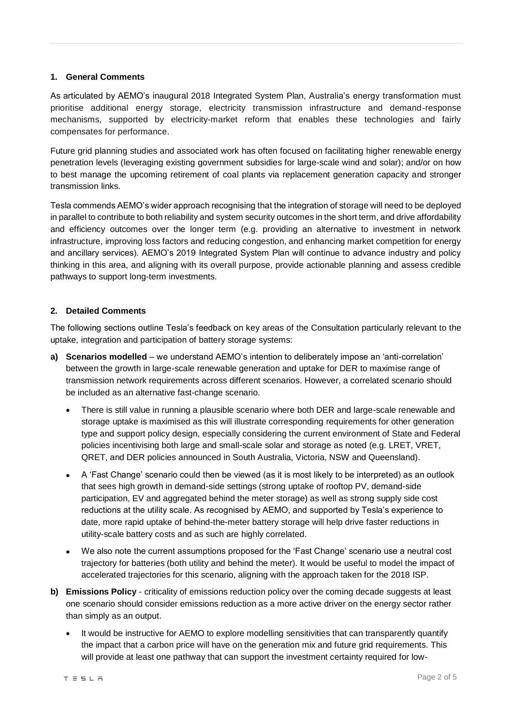## **1. General Comments**

As articulated by AEMO's inaugural 2018 Integrated System Plan, Australia's energy transformation must prioritise additional energy storage, electricity transmission infrastructure and demand-response mechanisms, supported by electricity-market reform that enables these technologies and fairly compensates for performance.

Future grid planning studies and associated work has often focused on facilitating higher renewable energy penetration levels (leveraging existing government subsidies for large-scale wind and solar); and/or on how to best manage the upcoming retirement of coal plants via replacement generation capacity and stronger transmission links.

Tesla commends AEMO's wider approach recognising that the integration of storage will need to be deployed in parallel to contribute to both reliability and system security outcomes in the short term, and drive affordability and efficiency outcomes over the longer term (e.g. providing an alternative to investment in network infrastructure, improving loss factors and reducing congestion, and enhancing market competition for energy and ancillary services). AEMO's 2019 Integrated System Plan will continue to advance industry and policy thinking in this area, and aligning with its overall purpose, provide actionable planning and assess credible pathways to support long-term investments.

## **2. Detailed Comments**

The following sections outline Tesla's feedback on key areas of the Consultation particularly relevant to the uptake, integration and participation of battery storage systems:

- **a) Scenarios modelled** we understand AEMO's intention to deliberately impose an 'anti-correlation' between the growth in large-scale renewable generation and uptake for DER to maximise range of transmission network requirements across different scenarios. However, a correlated scenario should be included as an alternative fast-change scenario.
	- There is still value in running a plausible scenario where both DER and large-scale renewable and storage uptake is maximised as this will illustrate corresponding requirements for other generation type and support policy design, especially considering the current environment of State and Federal policies incentivising both large and small-scale solar and storage as noted (e.g. LRET, VRET, QRET, and DER policies announced in South Australia, Victoria, NSW and Queensland).
	- A 'Fast Change' scenario could then be viewed (as it is most likely to be interpreted) as an outlook that sees high growth in demand-side settings (strong uptake of rooftop PV, demand-side participation, EV and aggregated behind the meter storage) as well as strong supply side cost reductions at the utility scale. As recognised by AEMO, and supported by Tesla's experience to date, more rapid uptake of behind-the-meter battery storage will help drive faster reductions in utility-scale battery costs and as such are highly correlated.
	- We also note the current assumptions proposed for the 'Fast Change' scenario use a neutral cost trajectory for batteries (both utility and behind the meter). It would be useful to model the impact of accelerated trajectories for this scenario, aligning with the approach taken for the 2018 ISP.
- **b) Emissions Policy** criticality of emissions reduction policy over the coming decade suggests at least one scenario should consider emissions reduction as a more active driver on the energy sector rather than simply as an output.
	- It would be instructive for AEMO to explore modelling sensitivities that can transparently quantify the impact that a carbon price will have on the generation mix and future grid requirements. This will provide at least one pathway that can support the investment certainty required for low-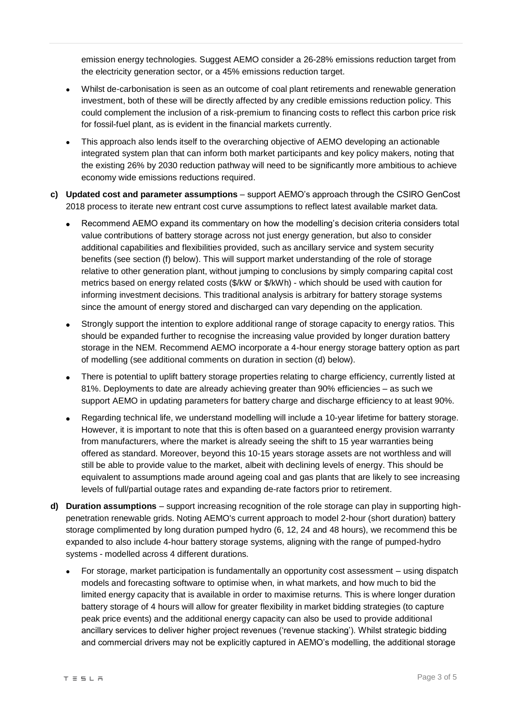emission energy technologies. Suggest AEMO consider a 26-28% emissions reduction target from the electricity generation sector, or a 45% emissions reduction target.

- Whilst de-carbonisation is seen as an outcome of coal plant retirements and renewable generation investment, both of these will be directly affected by any credible emissions reduction policy. This could complement the inclusion of a risk-premium to financing costs to reflect this carbon price risk for fossil-fuel plant, as is evident in the financial markets currently.
- This approach also lends itself to the overarching objective of AEMO developing an actionable integrated system plan that can inform both market participants and key policy makers, noting that the existing 26% by 2030 reduction pathway will need to be significantly more ambitious to achieve economy wide emissions reductions required.
- **c) Updated cost and parameter assumptions** support AEMO's approach through the CSIRO GenCost 2018 process to iterate new entrant cost curve assumptions to reflect latest available market data.
	- Recommend AEMO expand its commentary on how the modelling's decision criteria considers total value contributions of battery storage across not just energy generation, but also to consider additional capabilities and flexibilities provided, such as ancillary service and system security benefits (see section (f) below). This will support market understanding of the role of storage relative to other generation plant, without jumping to conclusions by simply comparing capital cost metrics based on energy related costs (\$/kW or \$/kWh) - which should be used with caution for informing investment decisions. This traditional analysis is arbitrary for battery storage systems since the amount of energy stored and discharged can vary depending on the application.
	- Strongly support the intention to explore additional range of storage capacity to energy ratios. This should be expanded further to recognise the increasing value provided by longer duration battery storage in the NEM. Recommend AEMO incorporate a 4-hour energy storage battery option as part of modelling (see additional comments on duration in section (d) below).
	- There is potential to uplift battery storage properties relating to charge efficiency, currently listed at 81%. Deployments to date are already achieving greater than 90% efficiencies – as such we support AEMO in updating parameters for battery charge and discharge efficiency to at least 90%.
	- Regarding technical life, we understand modelling will include a 10-year lifetime for battery storage. However, it is important to note that this is often based on a guaranteed energy provision warranty from manufacturers, where the market is already seeing the shift to 15 year warranties being offered as standard. Moreover, beyond this 10-15 years storage assets are not worthless and will still be able to provide value to the market, albeit with declining levels of energy. This should be equivalent to assumptions made around ageing coal and gas plants that are likely to see increasing levels of full/partial outage rates and expanding de-rate factors prior to retirement.
- **d) Duration assumptions** support increasing recognition of the role storage can play in supporting highpenetration renewable grids. Noting AEMO's current approach to model 2-hour (short duration) battery storage complimented by long duration pumped hydro (6, 12, 24 and 48 hours), we recommend this be expanded to also include 4-hour battery storage systems, aligning with the range of pumped-hydro systems - modelled across 4 different durations.
	- For storage, market participation is fundamentally an opportunity cost assessment using dispatch models and forecasting software to optimise when, in what markets, and how much to bid the limited energy capacity that is available in order to maximise returns. This is where longer duration battery storage of 4 hours will allow for greater flexibility in market bidding strategies (to capture peak price events) and the additional energy capacity can also be used to provide additional ancillary services to deliver higher project revenues ('revenue stacking'). Whilst strategic bidding and commercial drivers may not be explicitly captured in AEMO's modelling, the additional storage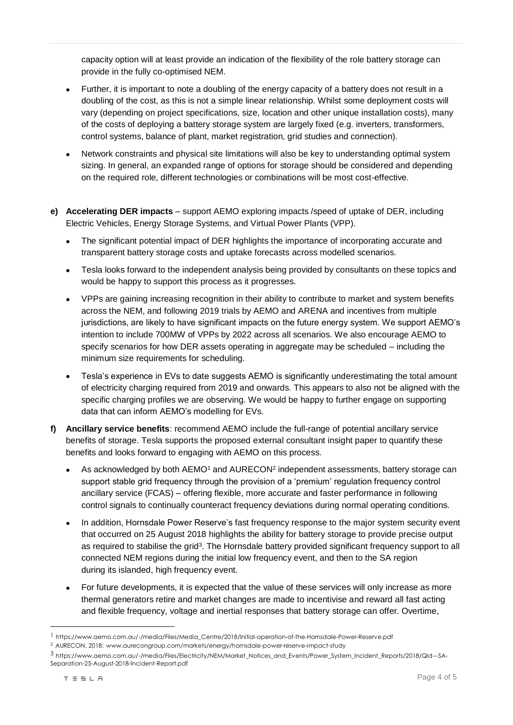capacity option will at least provide an indication of the flexibility of the role battery storage can provide in the fully co-optimised NEM.

- Further, it is important to note a doubling of the energy capacity of a battery does not result in a doubling of the cost, as this is not a simple linear relationship. Whilst some deployment costs will vary (depending on project specifications, size, location and other unique installation costs), many of the costs of deploying a battery storage system are largely fixed (e.g. inverters, transformers, control systems, balance of plant, market registration, grid studies and connection).
- Network constraints and physical site limitations will also be key to understanding optimal system sizing. In general, an expanded range of options for storage should be considered and depending on the required role, different technologies or combinations will be most cost-effective.
- **e) Accelerating DER impacts**  support AEMO exploring impacts /speed of uptake of DER, including Electric Vehicles, Energy Storage Systems, and Virtual Power Plants (VPP).
	- The significant potential impact of DER highlights the importance of incorporating accurate and transparent battery storage costs and uptake forecasts across modelled scenarios.
	- Tesla looks forward to the independent analysis being provided by consultants on these topics and would be happy to support this process as it progresses.
	- VPPs are gaining increasing recognition in their ability to contribute to market and system benefits across the NEM, and following 2019 trials by AEMO and ARENA and incentives from multiple jurisdictions, are likely to have significant impacts on the future energy system. We support AEMO's intention to include 700MW of VPPs by 2022 across all scenarios. We also encourage AEMO to specify scenarios for how DER assets operating in aggregate may be scheduled – including the minimum size requirements for scheduling.
	- Tesla's experience in EVs to date suggests AEMO is significantly underestimating the total amount of electricity charging required from 2019 and onwards. This appears to also not be aligned with the specific charging profiles we are observing. We would be happy to further engage on supporting data that can inform AEMO's modelling for EVs.
- **f) Ancillary service benefits**: recommend AEMO include the full-range of potential ancillary service benefits of storage. Tesla supports the proposed external consultant insight paper to quantify these benefits and looks forward to engaging with AEMO on this process.
	- As acknowledged by both AEMO<sup>1</sup> and AURECON<sup>2</sup> independent assessments, battery storage can support stable grid frequency through the provision of a 'premium' regulation frequency control ancillary service (FCAS) – offering flexible, more accurate and faster performance in following control signals to continually counteract frequency deviations during normal operating conditions.
	- In addition, Hornsdale Power Reserve's fast frequency response to the major system security event that occurred on 25 August 2018 highlights the ability for battery storage to provide precise output as required to stabilise the grid<sup>3</sup>. The Hornsdale battery provided significant frequency support to all connected NEM regions during the initial low frequency event, and then to the SA region during its islanded, high frequency event.
	- For future developments, it is expected that the value of these services will only increase as more thermal generators retire and market changes are made to incentivise and reward all fast acting and flexible frequency, voltage and inertial responses that battery storage can offer. Overtime,

 $\overline{a}$ 

<sup>1</sup> https://www.aemo.com.au/-/media/Files/Media\_Centre/2018/Initial-operation-of-the-Hornsdale-Power-Reserve.pdf

<sup>2</sup> AURECON, 2018: www.aurecongroup.com/markets/energy/hornsdale-power-reserve-impact-study

<sup>3</sup> https://www.aemo.com.au/-/media/Files/Electricity/NEM/Market\_Notices\_and\_Events/Power\_System\_Incident\_Reports/2018/Qld---SA-Separation-25-August-2018-Incident-Report.pdf